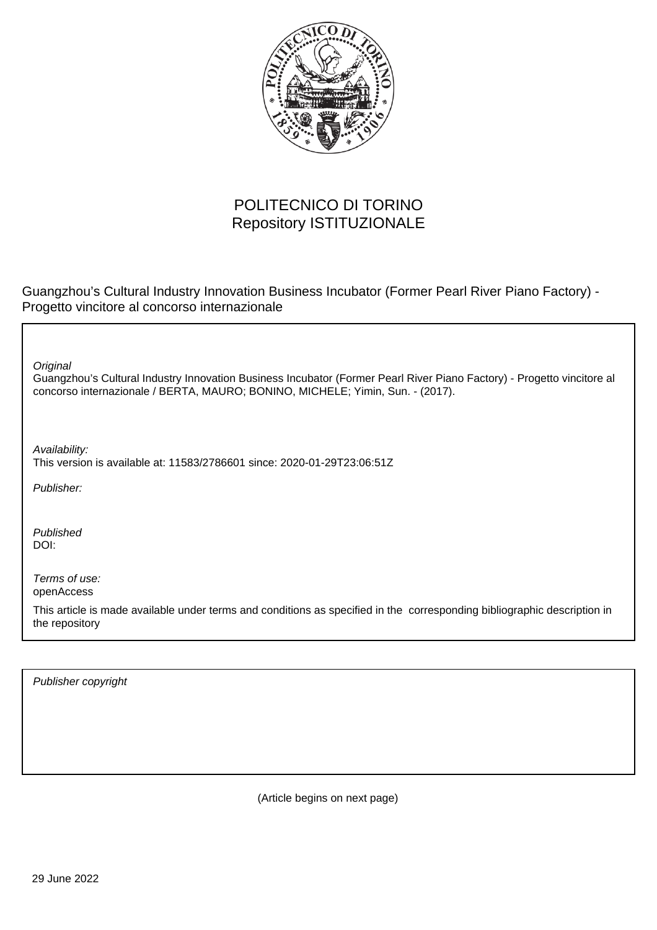

## POLITECNICO DI TORINO Repository ISTITUZIONALE

Guangzhou's Cultural Industry Innovation Business Incubator (Former Pearl River Piano Factory) - Progetto vincitore al concorso internazionale

Guangzhou's Cultural Industry Innovation Business Incubator (Former Pearl River Piano Factory) - Progetto vincitore al concorso internazionale / BERTA, MAURO; BONINO, MICHELE; Yimin, Sun. - (2017). **Original** Publisher: Published DOI: Terms of use: openAccess This article is made available under terms and conditions as specified in the corresponding bibliographic description in the repository Availability: This version is available at: 11583/2786601 since: 2020-01-29T23:06:51Z

Publisher copyright

(Article begins on next page)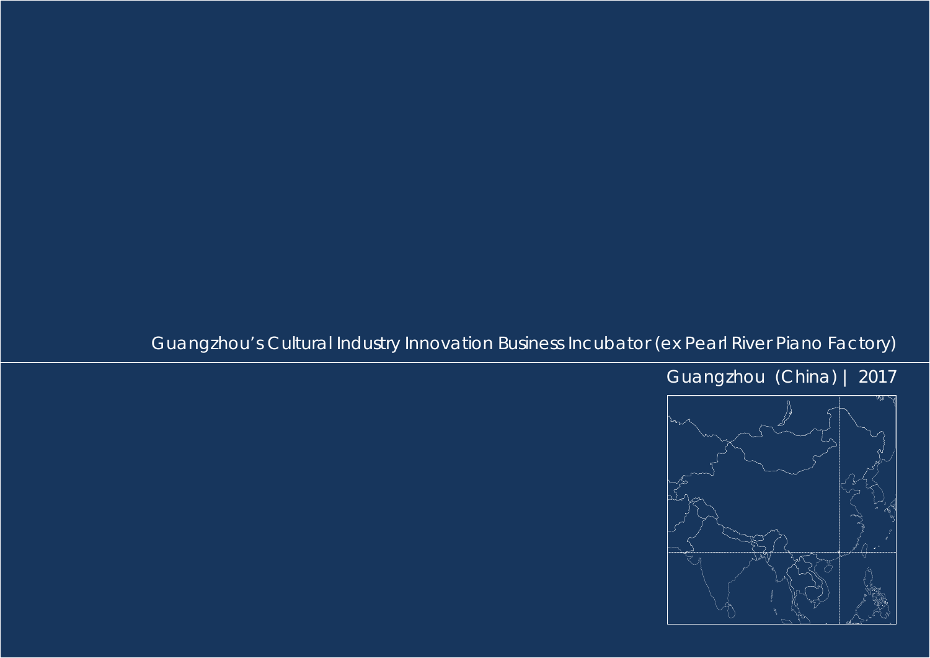## Guangzhou's Cultural Industry Innovation Business Incubator (ex Pearl River Piano Factory)

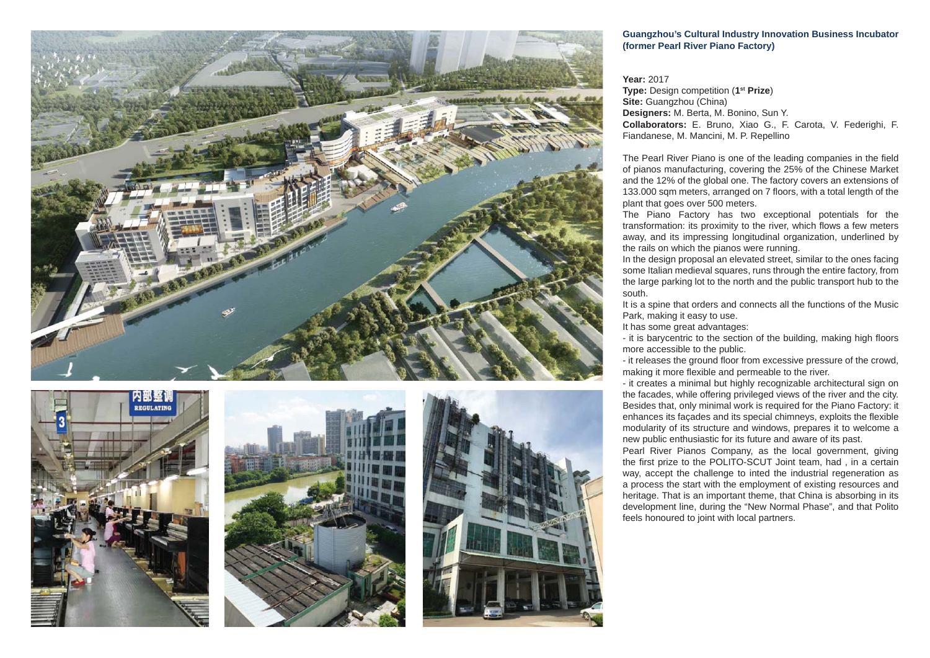







## **Guangzhou's Cultural Industry Innovation Business Incubator (former Pearl River Piano Factory)**

**Year:** 2017**Type:** Design competition (**1st Prize**) **Site:** Guangzhou (China) **Designers:** M. Berta, M. Bonino, Sun Y. **Collaborators:** E. Bruno, Xiao G., F. Carota, V. Federighi, F. Fiandanese, M. Mancini, M. P. Repellino

The Piano Factory has two exceptional potentials for the transformation: its proximity to the river, which flows a few meters away, and its impressing longitudinal organization, underlined by the rails on which the pianos were running.

plant that goes over 500 meters. south.

In the design proposal an elevated street, similar to the ones facing some Italian medieval squares, runs through the entire factory, from the large parking lot to the north and the public transport hub to the

It is a spine that orders and connects all the functions of the Music Park, making it easy to use. It has some great advantages: - it is barycentric to the section of the building, making high floors more accessible to the public.

- it releases the ground floor from excessive pressure of the crowd, making it more flexible and permeable to the river.

- it creates a minimal but highly recognizable architectural sign on

the facades, while offering privileged views of the river and the city. Besides that, only minimal work is required for the Piano Factory: it enhances its façades and its special chimneys, exploits the flexible modularity of its structure and windows, prepares it to welcome a new public enthusiastic for its future and aware of its past. Pearl River Pianos Company, as the local government, giving the first prize to the POLITO-SCUT Joint team, had, in a certain way, accept the challenge to inted the industrial regeneration as a process the start with the employment of existing resources and heritage. That is an important theme, that China is absorbing in its development line, during the "New Normal Phase", and that Polito feels honoured to joint with local partners.

The Pearl River Piano is one of the leading companies in the field of pianos manufacturing, covering the 25% of the Chinese Market and the 12% of the global one. The factory covers an extensions of 133.000 sqm meters, arranged on 7 floors, with a total length of the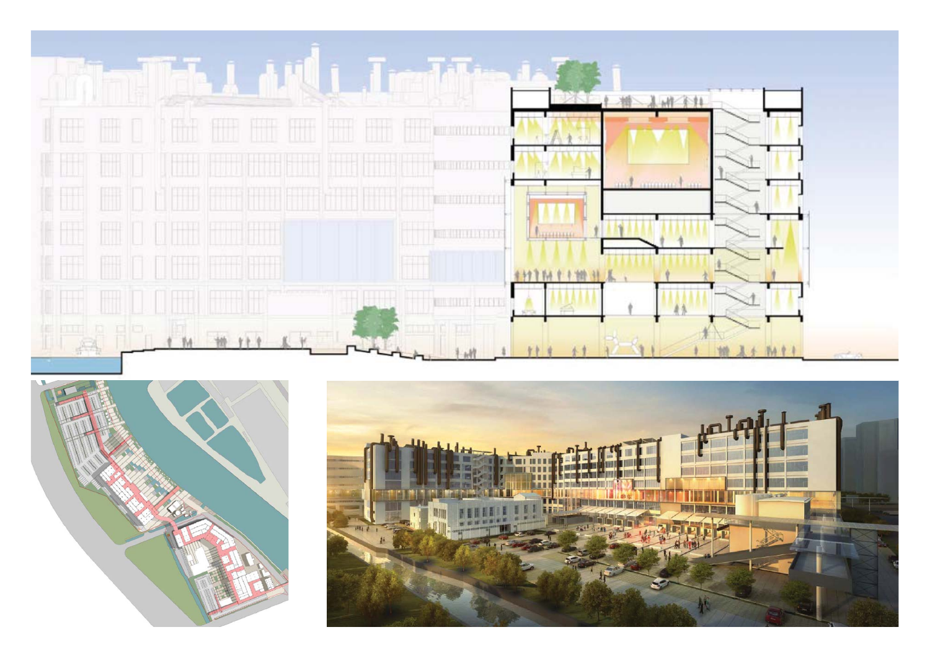